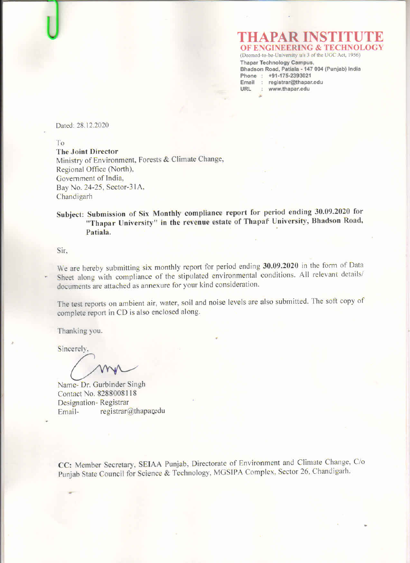## **OF ENGINEERING & TECHNOL**

(Deemed-to-be-University w/s 3 of the UGC Act, 1956) **Thapar Technology Campus,** Bhadson Road, Patiala - 147 004 (Punjab) India Phone: +91-175-2393021 Email : registrar@thapar.edu URL : www.thapar.edu

Dated: 28.12.2020

To

**The Joint Director** Ministry of Environment, Forests & Climate Change, Regional Office (North), Government of India, Bay No. 24-25, Sector-31A, Chandigarh

Subject: Submission of Six Monthly compliance report for period ending 30.09.2020 for "Thapar University" in the revenue estate of Thapaf University, Bhadson Road, Patiala.

Sir.

We are hereby submitting six monthly report for period ending 30.09.2020 in the form of Data Sheet along with compliance of the stipulated environmental conditions. All relevant details/ documents are attached as annexure for your kind consideration.

The test reports on ambient air, water, soil and noise levels are also submitted. The soft copy of complete report in CD is also enclosed along.

Thanking you.

Sincerely,

Name- Dr. Gurbinder Singh Contact No. 8288008118 Designation-Registrar registrar@thaparedu Email-

CC: Member Secretary, SEIAA Punjab, Directorate of Environment and Climate Change, C/o Punjab State Council for Science & Technology, MGSIPA Complex, Sector 26, Chandigarh.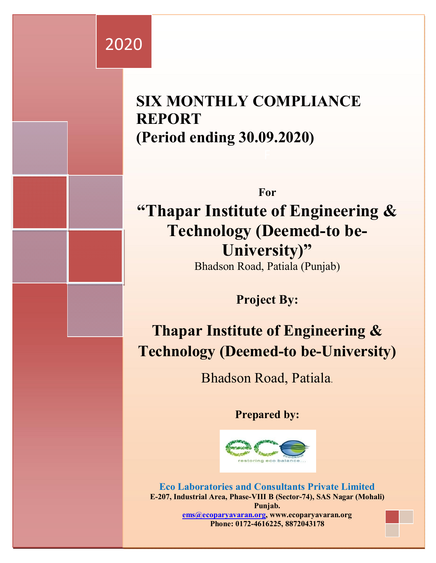# 2020

## **SIX MONTHLY COMPLIANCE REPORT (Period ending 30.09.2020)**

**For "Thapar Institute of Engineering & Technology (Deemed-to be-University)"**  Bhadson Road, Patiala (Punjab)

**Project By:**

**Thapar Institute of Engineering & Technology (Deemed-to be-University)**

Bhadson Road, Patiala.

**Prepared by:**



**Eco Laboratories and Consultants Private Limited E-207, Industrial Area, Phase-VIII B (Sector-74), SAS Nagar (Mohali) Punjab. ems@ecoparyavaran.org, www.ecoparyavaran.org Phone: 0172-4616225, 8872043178**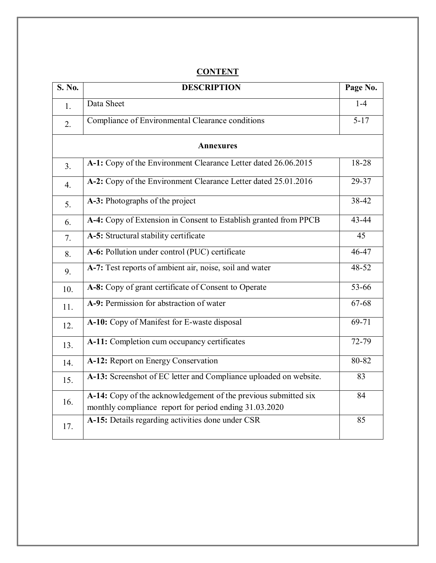| <b>S. No.</b>    | <b>DESCRIPTION</b>                                                                                                        |           |
|------------------|---------------------------------------------------------------------------------------------------------------------------|-----------|
| 1.               | Data Sheet                                                                                                                | $1-4$     |
| 2.               | Compliance of Environmental Clearance conditions                                                                          | $5 - 17$  |
|                  | <b>Annexures</b>                                                                                                          |           |
| 3.               | A-1: Copy of the Environment Clearance Letter dated 26.06.2015                                                            | 18-28     |
| $\overline{4}$ . | A-2: Copy of the Environment Clearance Letter dated 25.01.2016                                                            | 29-37     |
| 5.               | A-3: Photographs of the project                                                                                           | 38-42     |
| 6.               | A-4: Copy of Extension in Consent to Establish granted from PPCB                                                          | 43-44     |
| 7.               | A-5: Structural stability certificate                                                                                     | 45        |
| 8.               | A-6: Pollution under control (PUC) certificate                                                                            | 46-47     |
| 9.               | A-7: Test reports of ambient air, noise, soil and water                                                                   | 48-52     |
| 10.              | A-8: Copy of grant certificate of Consent to Operate                                                                      | $33 - 66$ |
| 11.              | A-9: Permission for abstraction of water                                                                                  | 67-68     |
| 12.              | A-10: Copy of Manifest for E-waste disposal                                                                               | 69-71     |
| 13.              | A-11: Completion cum occupancy certificates                                                                               | 72-79     |
| 14.              | A-12: Report on Energy Conservation                                                                                       | 80-82     |
| 15.              | A-13: Screenshot of EC letter and Compliance uploaded on website.                                                         | 83        |
| 16.              | A-14: Copy of the acknowledgement of the previous submitted six<br>monthly compliance report for period ending 31.03.2020 | 84        |
| 17.              | A-15: Details regarding activities done under CSR                                                                         | 85        |

#### **CONTENT**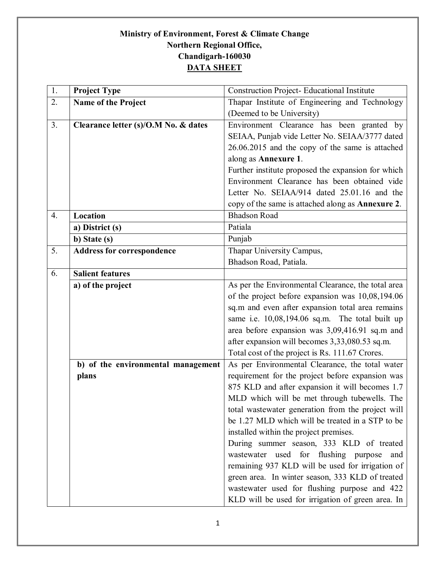#### **Ministry of Environment, Forest & Climate Change Northern Regional Office, Chandigarh-160030 DATA SHEET**

| 1. | <b>Project Type</b>                  | <b>Construction Project-Educational Institute</b>                                                                                                                                                                                                        |
|----|--------------------------------------|----------------------------------------------------------------------------------------------------------------------------------------------------------------------------------------------------------------------------------------------------------|
| 2. | Name of the Project                  | Thapar Institute of Engineering and Technology                                                                                                                                                                                                           |
|    |                                      | (Deemed to be University)                                                                                                                                                                                                                                |
| 3. | Clearance letter (s)/O.M No. & dates | Environment Clearance has been granted by                                                                                                                                                                                                                |
|    |                                      | SEIAA, Punjab vide Letter No. SEIAA/3777 dated                                                                                                                                                                                                           |
|    |                                      | 26.06.2015 and the copy of the same is attached                                                                                                                                                                                                          |
|    |                                      | along as Annexure 1.                                                                                                                                                                                                                                     |
|    |                                      | Further institute proposed the expansion for which                                                                                                                                                                                                       |
|    |                                      | Environment Clearance has been obtained vide                                                                                                                                                                                                             |
|    |                                      | Letter No. SEIAA/914 dated 25.01.16 and the                                                                                                                                                                                                              |
|    |                                      | copy of the same is attached along as Annexure 2.                                                                                                                                                                                                        |
| 4. | Location                             | <b>Bhadson Road</b>                                                                                                                                                                                                                                      |
|    | a) District (s)                      | Patiala                                                                                                                                                                                                                                                  |
|    | b) State (s)                         | Punjab                                                                                                                                                                                                                                                   |
| 5. | <b>Address for correspondence</b>    | Thapar University Campus,                                                                                                                                                                                                                                |
|    |                                      | Bhadson Road, Patiala.                                                                                                                                                                                                                                   |
| 6. | <b>Salient features</b>              |                                                                                                                                                                                                                                                          |
|    | a) of the project                    | As per the Environmental Clearance, the total area                                                                                                                                                                                                       |
|    |                                      | of the project before expansion was 10,08,194.06                                                                                                                                                                                                         |
|    |                                      | sq.m and even after expansion total area remains                                                                                                                                                                                                         |
|    |                                      | same i.e. 10,08,194.06 sq.m. The total built up                                                                                                                                                                                                          |
|    |                                      | area before expansion was 3,09,416.91 sq.m and                                                                                                                                                                                                           |
|    |                                      | after expansion will becomes 3,33,080.53 sq.m.                                                                                                                                                                                                           |
|    |                                      | Total cost of the project is Rs. 111.67 Crores.                                                                                                                                                                                                          |
|    | b) of the environmental management   | As per Environmental Clearance, the total water                                                                                                                                                                                                          |
|    | plans                                | requirement for the project before expansion was                                                                                                                                                                                                         |
|    |                                      | 875 KLD and after expansion it will becomes 1.7                                                                                                                                                                                                          |
|    |                                      | MLD which will be met through tubewells. The                                                                                                                                                                                                             |
|    |                                      | total wastewater generation from the project will<br>be 1.27 MLD which will be treated in a STP to be                                                                                                                                                    |
|    |                                      | installed within the project premises.                                                                                                                                                                                                                   |
|    |                                      | During summer season, 333 KLD of treated                                                                                                                                                                                                                 |
|    |                                      |                                                                                                                                                                                                                                                          |
|    |                                      |                                                                                                                                                                                                                                                          |
|    |                                      |                                                                                                                                                                                                                                                          |
|    |                                      |                                                                                                                                                                                                                                                          |
|    |                                      |                                                                                                                                                                                                                                                          |
|    |                                      | wastewater used for flushing purpose<br>and<br>remaining 937 KLD will be used for irrigation of<br>green area. In winter season, 333 KLD of treated<br>wastewater used for flushing purpose and 422<br>KLD will be used for irrigation of green area. In |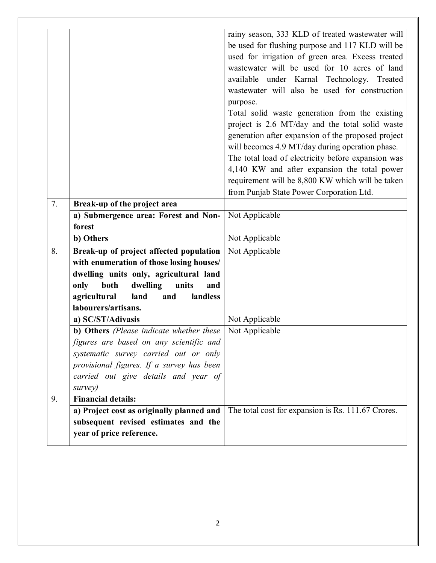|    |                                                                                  | rainy season, 333 KLD of treated wastewater will   |
|----|----------------------------------------------------------------------------------|----------------------------------------------------|
|    |                                                                                  | be used for flushing purpose and 117 KLD will be   |
|    |                                                                                  | used for irrigation of green area. Excess treated  |
|    |                                                                                  | wastewater will be used for 10 acres of land       |
|    |                                                                                  | available under Karnal Technology. Treated         |
|    |                                                                                  | wastewater will also be used for construction      |
|    |                                                                                  | purpose.                                           |
|    |                                                                                  | Total solid waste generation from the existing     |
|    |                                                                                  | project is 2.6 MT/day and the total solid waste    |
|    |                                                                                  | generation after expansion of the proposed project |
|    |                                                                                  | will becomes 4.9 MT/day during operation phase.    |
|    |                                                                                  | The total load of electricity before expansion was |
|    |                                                                                  | 4,140 KW and after expansion the total power       |
|    |                                                                                  | requirement will be 8,800 KW which will be taken   |
|    |                                                                                  | from Punjab State Power Corporation Ltd.           |
| 7. | Break-up of the project area                                                     |                                                    |
|    | a) Submergence area: Forest and Non-                                             | Not Applicable                                     |
|    | forest                                                                           |                                                    |
|    | b) Others                                                                        | Not Applicable                                     |
| 8. | Break-up of project affected population                                          | Not Applicable                                     |
|    | with enumeration of those losing houses/                                         |                                                    |
|    | dwelling units only, agricultural land                                           |                                                    |
|    | only<br>both<br>dwelling<br>units<br>and                                         |                                                    |
|    | agricultural<br>and<br>landless<br>land                                          |                                                    |
|    | labourers/artisans.                                                              |                                                    |
|    | a) SC/ST/Adivasis                                                                | Not Applicable                                     |
|    | b) Others (Please indicate whether these                                         | Not Applicable                                     |
|    | figures are based on any scientific and<br>systematic survey carried out or only |                                                    |
|    | provisional figures. If a survey has been                                        |                                                    |
|    | carried out give details and year of                                             |                                                    |
|    | survey)                                                                          |                                                    |
| 9. | <b>Financial details:</b>                                                        |                                                    |
|    | a) Project cost as originally planned and                                        | The total cost for expansion is Rs. 111.67 Crores. |
|    | subsequent revised estimates and the                                             |                                                    |
|    | year of price reference.                                                         |                                                    |
|    |                                                                                  |                                                    |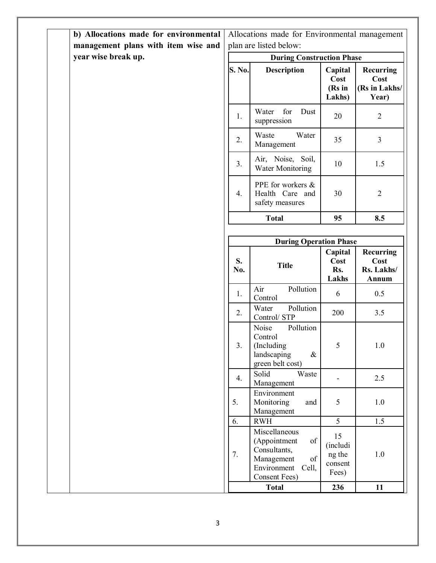| b) Allocations made for environmental<br>management plans with item wise and |                                  | Allocations made for Environmental management<br>plan are listed below:                                                  |                                              |                                                    |
|------------------------------------------------------------------------------|----------------------------------|--------------------------------------------------------------------------------------------------------------------------|----------------------------------------------|----------------------------------------------------|
| year wise break up.                                                          | <b>During Construction Phase</b> |                                                                                                                          |                                              |                                                    |
|                                                                              | <b>S. No.</b>                    | <b>Description</b>                                                                                                       | Capital<br>Cost<br>(Rs in<br>Lakhs)          | <b>Recurring</b><br>Cost<br>(Rs in Lakhs/<br>Year) |
|                                                                              | 1.                               | Water<br>for<br>Dust<br>suppression                                                                                      | 20                                           | $\overline{2}$                                     |
|                                                                              | 2.                               | Waste<br>Water<br>Management                                                                                             | 35                                           | 3                                                  |
|                                                                              | 3.                               | Air, Noise, Soil,<br><b>Water Monitoring</b>                                                                             | 10                                           | 1.5                                                |
|                                                                              | 4.                               | PPE for workers &<br>Health Care and<br>safety measures                                                                  | 30                                           | $\mathbf{2}$                                       |
|                                                                              |                                  | <b>Total</b>                                                                                                             | 95                                           | 8.5                                                |
|                                                                              |                                  |                                                                                                                          |                                              |                                                    |
|                                                                              |                                  | <b>During Operation Phase</b>                                                                                            |                                              |                                                    |
|                                                                              | S.<br>No.                        | <b>Title</b>                                                                                                             | Capital<br>Cost<br>Rs.<br>Lakhs              | Recurring<br>Cost<br>Rs. Lakhs/<br>Annum           |
|                                                                              | 1.                               | Air<br>Pollution<br>Control                                                                                              | 6                                            | 0.5                                                |
|                                                                              | 2.                               | Water<br>Pollution<br>Control/STP                                                                                        | 200                                          | 3.5                                                |
|                                                                              | 3.                               | Pollution<br>Noise<br>Control<br>(Including<br>landscaping<br>$\&$<br>green belt cost)                                   | 5                                            | $1.0\,$                                            |
|                                                                              | 4.                               | Solid<br>Waste<br>Management                                                                                             |                                              | 2.5                                                |
|                                                                              | 5.                               | Environment<br>Monitoring<br>and<br>Management                                                                           | 5                                            | $1.0\,$                                            |
|                                                                              | 6.                               | <b>RWH</b>                                                                                                               | 5                                            | 1.5                                                |
|                                                                              | 7.                               | Miscellaneous<br>of<br>(Appointment<br>Consultants,<br>of<br>Management<br>Environment<br>Cell,<br><b>Consent Fees</b> ) | 15<br>(includi<br>ng the<br>consent<br>Fees) | $1.0\,$                                            |
|                                                                              |                                  | <b>Total</b>                                                                                                             | 236                                          | 11                                                 |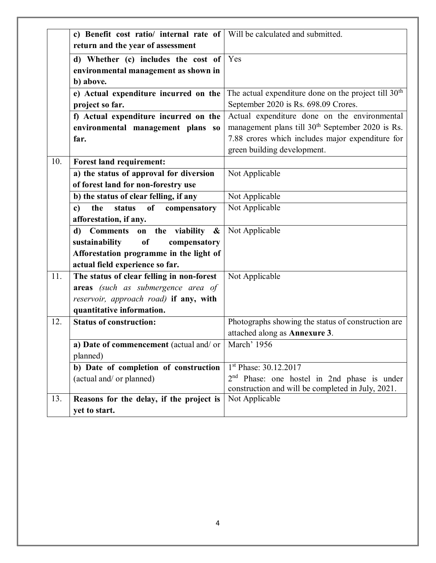|     | c) Benefit cost ratio/ internal rate of     | Will be calculated and submitted.                            |
|-----|---------------------------------------------|--------------------------------------------------------------|
|     | return and the year of assessment           |                                                              |
|     | d) Whether (c) includes the cost of         | Yes                                                          |
|     | environmental management as shown in        |                                                              |
|     | b) above.                                   |                                                              |
|     | e) Actual expenditure incurred on the       | The actual expenditure done on the project till $30th$       |
|     | project so far.                             | September 2020 is Rs. 698.09 Crores.                         |
|     | f) Actual expenditure incurred on the       | Actual expenditure done on the environmental                 |
|     | environmental management plans so           | management plans till 30 <sup>th</sup> September 2020 is Rs. |
|     | far.                                        | 7.88 crores which includes major expenditure for             |
|     |                                             | green building development.                                  |
| 10. | Forest land requirement:                    |                                                              |
|     | a) the status of approval for diversion     | Not Applicable                                               |
|     | of forest land for non-forestry use         |                                                              |
|     | b) the status of clear felling, if any      | Not Applicable                                               |
|     | status<br>of<br>the<br>compensatory<br>c)   | Not Applicable                                               |
|     | afforestation, if any.                      |                                                              |
|     | Comments on the viability &<br>$\mathbf{d}$ | Not Applicable                                               |
|     | sustainability<br>of<br>compensatory        |                                                              |
|     | Afforestation programme in the light of     |                                                              |
|     | actual field experience so far.             |                                                              |
| 11. | The status of clear felling in non-forest   | Not Applicable                                               |
|     | areas (such as submergence area of          |                                                              |
|     | reservoir, approach road) if any, with      |                                                              |
|     | quantitative information.                   |                                                              |
| 12. | <b>Status of construction:</b>              | Photographs showing the status of construction are           |
|     |                                             | attached along as Annexure 3.                                |
|     | a) Date of commencement (actual and/or      | March' 1956                                                  |
|     | planned)                                    |                                                              |
|     | b) Date of completion of construction       | 1 <sup>st</sup> Phase: 30.12.2017                            |
|     | (actual and/ or planned)                    | 2 <sup>nd</sup> Phase: one hostel in 2nd phase is under      |
|     |                                             | construction and will be completed in July, 2021.            |
| 13. | Reasons for the delay, if the project is    | Not Applicable                                               |
|     | yet to start.                               |                                                              |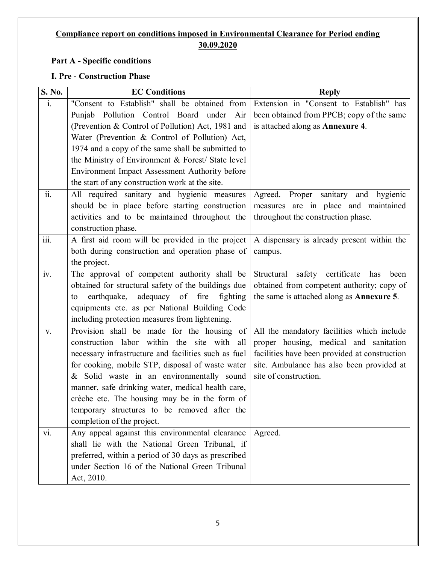#### **Compliance report on conditions imposed in Environmental Clearance for Period ending 30.09.2020**

#### **Part A - Specific conditions**

#### **I. Pre - Construction Phase**

| S. No.                    | <b>EC Conditions</b>                                                                              | <b>Reply</b>                                      |
|---------------------------|---------------------------------------------------------------------------------------------------|---------------------------------------------------|
| $\mathbf{i}$ .            | "Consent to Establish" shall be obtained from                                                     | Extension in "Consent to Establish" has           |
|                           | Punjab Pollution Control Board under<br>Air                                                       | been obtained from PPCB; copy of the same         |
|                           | (Prevention & Control of Pollution) Act, 1981 and                                                 | is attached along as Annexure 4.                  |
|                           | Water (Prevention & Control of Pollution) Act,                                                    |                                                   |
|                           | 1974 and a copy of the same shall be submitted to                                                 |                                                   |
|                           | the Ministry of Environment & Forest/ State level                                                 |                                                   |
|                           | Environment Impact Assessment Authority before                                                    |                                                   |
|                           | the start of any construction work at the site.                                                   |                                                   |
| ii.                       | All required sanitary and hygienic measures                                                       | Agreed. Proper sanitary and hygienic              |
|                           | should be in place before starting construction                                                   | measures are in place and maintained              |
|                           | activities and to be maintained throughout the                                                    | throughout the construction phase.                |
|                           | construction phase.                                                                               |                                                   |
| $\overline{\text{iii}}$ . | A first aid room will be provided in the project                                                  | A dispensary is already present within the        |
|                           | both during construction and operation phase of                                                   | campus.                                           |
|                           | the project.                                                                                      |                                                   |
| iv.                       | The approval of competent authority shall be                                                      | Structural safety certificate<br>has<br>been      |
|                           | obtained for structural safety of the buildings due                                               | obtained from competent authority; copy of        |
|                           | earthquake, adequacy of fire fighting<br>to                                                       | the same is attached along as <b>Annexure 5</b> . |
|                           | equipments etc. as per National Building Code                                                     |                                                   |
|                           | including protection measures from lightening.                                                    |                                                   |
| V.                        | Provision shall be made for the housing of                                                        | All the mandatory facilities which include        |
|                           | construction labor within the site with all                                                       | proper housing, medical and sanitation            |
|                           | necessary infrastructure and facilities such as fuel                                              | facilities have been provided at construction     |
|                           | for cooking, mobile STP, disposal of waste water                                                  | site. Ambulance has also been provided at         |
|                           | & Solid waste in an environmentally sound                                                         | site of construction.                             |
|                           | manner, safe drinking water, medical health care,                                                 |                                                   |
|                           | crèche etc. The housing may be in the form of                                                     |                                                   |
|                           | temporary structures to be removed after the                                                      |                                                   |
|                           | completion of the project.                                                                        |                                                   |
| vi.                       | Any appeal against this environmental clearance<br>shall lie with the National Green Tribunal, if | Agreed.                                           |
|                           | preferred, within a period of 30 days as prescribed                                               |                                                   |
|                           | under Section 16 of the National Green Tribunal                                                   |                                                   |
|                           | Act, 2010.                                                                                        |                                                   |
|                           |                                                                                                   |                                                   |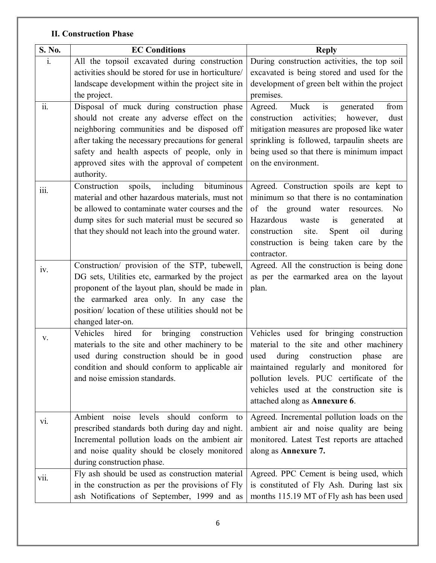#### **II. Construction Phase**

| S. No. | <b>EC Conditions</b>                                                                                                                                                                                                                                                                                          | <b>Reply</b>                                                                                                                                                                                                                                                                                              |
|--------|---------------------------------------------------------------------------------------------------------------------------------------------------------------------------------------------------------------------------------------------------------------------------------------------------------------|-----------------------------------------------------------------------------------------------------------------------------------------------------------------------------------------------------------------------------------------------------------------------------------------------------------|
| i.     | All the topsoil excavated during construction<br>activities should be stored for use in horticulture/<br>landscape development within the project site in<br>the project.                                                                                                                                     | During construction activities, the top soil<br>excavated is being stored and used for the<br>development of green belt within the project<br>premises.                                                                                                                                                   |
| ii.    | Disposal of muck during construction phase<br>should not create any adverse effect on the<br>neighboring communities and be disposed off<br>after taking the necessary precautions for general<br>safety and health aspects of people, only in<br>approved sites with the approval of competent<br>authority. | is<br>Muck<br>Agreed.<br>from<br>generated<br>construction<br>however,<br>dust<br>activities;<br>mitigation measures are proposed like water<br>sprinkling is followed, tarpaulin sheets are<br>being used so that there is minimum impact<br>on the environment.                                         |
| 111.   | spoils, including<br>Construction<br>bituminous<br>material and other hazardous materials, must not<br>be allowed to contaminate water courses and the<br>dump sites for such material must be secured so<br>that they should not leach into the ground water.                                                | Agreed. Construction spoils are kept to<br>minimum so that there is no contamination<br>of the ground water<br>N <sub>o</sub><br>resources.<br>Hazardous<br>is<br>waste<br>generated<br>at<br>construction<br>site.<br>Spent<br>oil<br>during<br>construction is being taken care by the<br>contractor.   |
| iv.    | Construction/ provision of the STP, tubewell,<br>DG sets, Utilities etc, earmarked by the project<br>proponent of the layout plan, should be made in<br>the earmarked area only. In any case the<br>position/location of these utilities should not be<br>changed later-on.                                   | Agreed. All the construction is being done<br>as per the earmarked area on the layout<br>plan.                                                                                                                                                                                                            |
| V.     | Vehicles<br>hired<br>for<br>bringing<br>construction<br>materials to the site and other machinery to be<br>used during construction should be in good<br>condition and should conform to applicable air<br>and noise emission standards.                                                                      | Vehicles used for bringing construction<br>material to the site and other machinery<br>used<br>during<br>construction<br>phase<br>are<br>maintained regularly and monitored for<br>pollution levels. PUC certificate of the<br>vehicles used at the construction site is<br>attached along as Annexure 6. |
| vi.    | should<br>noise<br>levels<br>conform<br>Ambient<br>to<br>prescribed standards both during day and night.<br>Incremental pollution loads on the ambient air<br>and noise quality should be closely monitored<br>during construction phase.                                                                     | Agreed. Incremental pollution loads on the<br>ambient air and noise quality are being<br>monitored. Latest Test reports are attached<br>along as Annexure 7.                                                                                                                                              |
| Vii.   | Fly ash should be used as construction material<br>in the construction as per the provisions of Fly<br>ash Notifications of September, 1999 and as                                                                                                                                                            | Agreed. PPC Cement is being used, which<br>is constituted of Fly Ash. During last six<br>months 115.19 MT of Fly ash has been used                                                                                                                                                                        |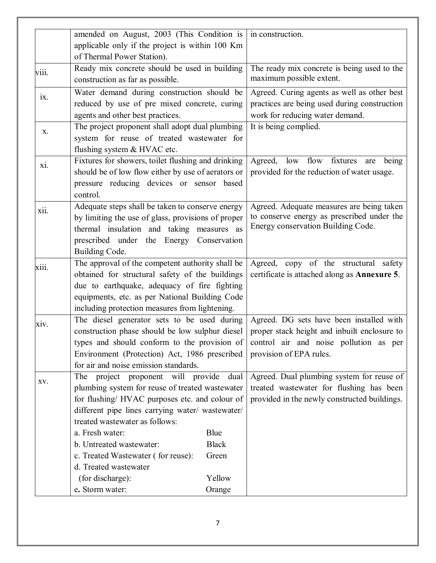|                   | amended on August, 2003 (This Condition is         |              | in construction.                                                                    |
|-------------------|----------------------------------------------------|--------------|-------------------------------------------------------------------------------------|
|                   | applicable only if the project is within 100 Km    |              |                                                                                     |
|                   | of Thermal Power Station).                         |              |                                                                                     |
| viii.             | Ready mix concrete should be used in building      |              | The ready mix concrete is being used to the                                         |
|                   | construction as far as possible.                   |              | maximum possible extent.                                                            |
| $\overline{1}X$ . | Water demand during construction should be         |              | Agreed. Curing agents as well as other best                                         |
|                   | reduced by use of pre mixed concrete, curing       |              | practices are being used during construction                                        |
|                   | agents and other best practices.                   |              | work for reducing water demand.                                                     |
| X.                | The project proponent shall adopt dual plumbing    |              | It is being complied.                                                               |
|                   | system for reuse of treated wastewater for         |              |                                                                                     |
|                   | flushing system & HVAC etc.                        |              |                                                                                     |
| X1.               | Fixtures for showers, toilet flushing and drinking |              | Agreed,<br>flow fixtures<br>low<br>being<br>are                                     |
|                   | should be of low flow either by use of aerators or |              | provided for the reduction of water usage.                                          |
|                   | pressure reducing devices or sensor based          |              |                                                                                     |
|                   | control.                                           |              |                                                                                     |
| xii.              | Adequate steps shall be taken to conserve energy   |              | Agreed. Adequate measures are being taken                                           |
|                   | by limiting the use of glass, provisions of proper |              | to conserve energy as prescribed under the                                          |
|                   | thermal insulation and taking measures as          |              | Energy conservation Building Code.                                                  |
|                   | prescribed under the Energy                        | Conservation |                                                                                     |
|                   | Building Code.                                     |              |                                                                                     |
| xiii.             | The approval of the competent authority shall be   |              | Agreed, copy of the structural safety                                               |
|                   | obtained for structural safety of the buildings    |              | certificate is attached along as <b>Annexure 5</b> .                                |
|                   | due to earthquake, adequacy of fire fighting       |              |                                                                                     |
|                   | equipments, etc. as per National Building Code     |              |                                                                                     |
|                   | including protection measures from lightening.     |              |                                                                                     |
| xiv.              | The diesel generator sets to be used during        |              | Agreed. DG sets have been installed with                                            |
|                   | construction phase should be low sulphur diesel    |              | proper stack height and inbuilt enclosure to                                        |
|                   |                                                    |              | types and should conform to the provision of control air and noise pollution as per |
|                   | Environment (Protection) Act, 1986 prescribed      |              | provision of EPA rules.                                                             |
|                   | for air and noise emission standards.              |              |                                                                                     |
| XV.               | The project proponent will provide dual            |              | Agreed. Dual plumbing system for reuse of                                           |
|                   | plumbing system for reuse of treated wastewater    |              | treated wastewater for flushing has been                                            |
|                   | for flushing/ HVAC purposes etc. and colour of     |              | provided in the newly constructed buildings.                                        |
|                   | different pipe lines carrying water/ wastewater/   |              |                                                                                     |
|                   | treated wastewater as follows:                     |              |                                                                                     |
|                   | a. Fresh water:                                    | Blue         |                                                                                     |
|                   | b. Untreated wastewater:                           | <b>Black</b> |                                                                                     |
|                   | c. Treated Wastewater (for reuse):                 | Green        |                                                                                     |
|                   | d. Treated wastewater                              |              |                                                                                     |
|                   | (for discharge):                                   | Yellow       |                                                                                     |
|                   | e. Storm water:                                    | Orange       |                                                                                     |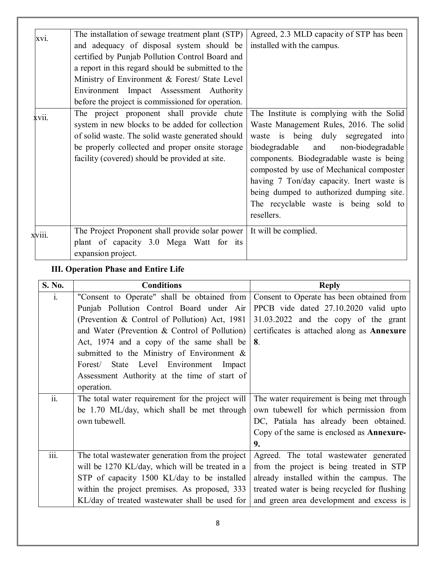| xvi.   | The installation of sewage treatment plant (STP)                       | Agreed, 2.3 MLD capacity of STP has been  |
|--------|------------------------------------------------------------------------|-------------------------------------------|
|        | and adequacy of disposal system should be                              | installed with the campus.                |
|        | certified by Punjab Pollution Control Board and                        |                                           |
|        | a report in this regard should be submitted to the                     |                                           |
|        | Ministry of Environment & Forest/ State Level                          |                                           |
|        | Environment Impact Assessment Authority                                |                                           |
|        | before the project is commissioned for operation.                      |                                           |
| XV11.  | The project proponent shall provide chute                              | The Institute is complying with the Solid |
|        | system in new blocks to be added for collection                        | Waste Management Rules, 2016. The solid   |
|        | of solid waste. The solid waste generated should                       | waste is being duly segregated into       |
|        | be properly collected and proper onsite storage                        | and non-biodegradable<br>biodegradable    |
|        | facility (covered) should be provided at site.                         | components. Biodegradable waste is being  |
|        |                                                                        | composted by use of Mechanical composter  |
|        |                                                                        | having 7 Ton/day capacity. Inert waste is |
|        |                                                                        | being dumped to authorized dumping site.  |
|        |                                                                        | The recyclable waste is being sold to     |
|        |                                                                        | resellers.                                |
|        |                                                                        |                                           |
| XV111. | The Project Proponent shall provide solar power   It will be complied. |                                           |
|        | plant of capacity 3.0 Mega Watt for its                                |                                           |
|        | expansion project.                                                     |                                           |
|        |                                                                        |                                           |

#### **III. Operation Phase and Entire Life**

| S. No.                    | <b>Conditions</b>                                | <b>Reply</b>                                      |
|---------------------------|--------------------------------------------------|---------------------------------------------------|
| 1.                        | "Consent to Operate" shall be obtained from      | Consent to Operate has been obtained from         |
|                           | Punjab Pollution Control Board under Air         | PPCB vide dated 27.10.2020 valid upto             |
|                           | (Prevention & Control of Pollution) Act, 1981    | 31.03.2022 and the copy of the grant              |
|                           | and Water (Prevention & Control of Pollution)    | certificates is attached along as <b>Annexure</b> |
|                           | Act, 1974 and a copy of the same shall be        | 8.                                                |
|                           | submitted to the Ministry of Environment $\&$    |                                                   |
|                           | Forest/ State Level Environment Impact           |                                                   |
|                           | Assessment Authority at the time of start of     |                                                   |
|                           | operation.                                       |                                                   |
| ii.                       | The total water requirement for the project will | The water requirement is being met through        |
|                           | be 1.70 ML/day, which shall be met through       | own tubewell for which permission from            |
|                           | own tubewell.                                    | DC, Patiala has already been obtained.            |
|                           |                                                  | Copy of the same is enclosed as <b>Annexure-</b>  |
|                           |                                                  | 9.                                                |
| $\overline{\text{iii}}$ . | The total wastewater generation from the project | Agreed. The total wastewater generated            |
|                           | will be 1270 KL/day, which will be treated in a  | from the project is being treated in STP          |
|                           | STP of capacity 1500 KL/day to be installed      | already installed within the campus. The          |
|                           | within the project premises. As proposed, 333    | treated water is being recycled for flushing      |
|                           | KL/day of treated wastewater shall be used for   | and green area development and excess is          |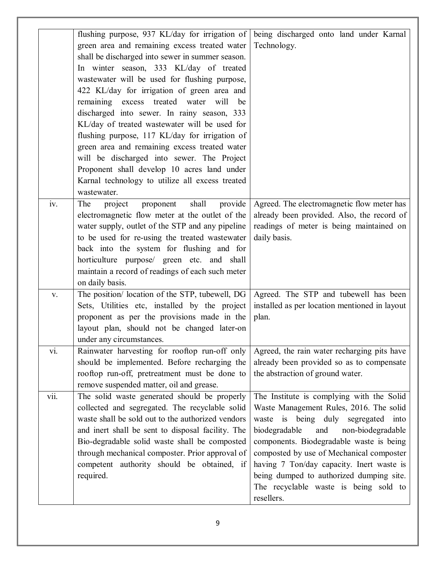| flushing purpose, 937 KL/day for irrigation of<br>being discharged onto land under Karnal<br>green area and remaining excess treated water<br>Technology.<br>shall be discharged into sewer in summer season.<br>In winter season, 333 KL/day of treated<br>wastewater will be used for flushing purpose,<br>422 KL/day for irrigation of green area and<br>remaining excess treated water will<br>be<br>discharged into sewer. In rainy season, 333<br>KL/day of treated wastewater will be used for<br>flushing purpose, 117 KL/day for irrigation of |      |
|---------------------------------------------------------------------------------------------------------------------------------------------------------------------------------------------------------------------------------------------------------------------------------------------------------------------------------------------------------------------------------------------------------------------------------------------------------------------------------------------------------------------------------------------------------|------|
|                                                                                                                                                                                                                                                                                                                                                                                                                                                                                                                                                         |      |
|                                                                                                                                                                                                                                                                                                                                                                                                                                                                                                                                                         |      |
|                                                                                                                                                                                                                                                                                                                                                                                                                                                                                                                                                         |      |
|                                                                                                                                                                                                                                                                                                                                                                                                                                                                                                                                                         |      |
|                                                                                                                                                                                                                                                                                                                                                                                                                                                                                                                                                         |      |
|                                                                                                                                                                                                                                                                                                                                                                                                                                                                                                                                                         |      |
|                                                                                                                                                                                                                                                                                                                                                                                                                                                                                                                                                         |      |
|                                                                                                                                                                                                                                                                                                                                                                                                                                                                                                                                                         |      |
|                                                                                                                                                                                                                                                                                                                                                                                                                                                                                                                                                         |      |
|                                                                                                                                                                                                                                                                                                                                                                                                                                                                                                                                                         |      |
| green area and remaining excess treated water                                                                                                                                                                                                                                                                                                                                                                                                                                                                                                           |      |
| will be discharged into sewer. The Project                                                                                                                                                                                                                                                                                                                                                                                                                                                                                                              |      |
| Proponent shall develop 10 acres land under                                                                                                                                                                                                                                                                                                                                                                                                                                                                                                             |      |
| Karnal technology to utilize all excess treated                                                                                                                                                                                                                                                                                                                                                                                                                                                                                                         |      |
| wastewater.                                                                                                                                                                                                                                                                                                                                                                                                                                                                                                                                             |      |
| iv.<br>provide<br>Agreed. The electromagnetic flow meter has<br>project<br>shall<br>The<br>proponent                                                                                                                                                                                                                                                                                                                                                                                                                                                    |      |
| electromagnetic flow meter at the outlet of the<br>already been provided. Also, the record of                                                                                                                                                                                                                                                                                                                                                                                                                                                           |      |
| water supply, outlet of the STP and any pipeline<br>readings of meter is being maintained on                                                                                                                                                                                                                                                                                                                                                                                                                                                            |      |
| to be used for re-using the treated wastewater<br>daily basis.                                                                                                                                                                                                                                                                                                                                                                                                                                                                                          |      |
| back into the system for flushing and for                                                                                                                                                                                                                                                                                                                                                                                                                                                                                                               |      |
| horticulture purpose/ green etc. and shall                                                                                                                                                                                                                                                                                                                                                                                                                                                                                                              |      |
| maintain a record of readings of each such meter                                                                                                                                                                                                                                                                                                                                                                                                                                                                                                        |      |
| on daily basis.                                                                                                                                                                                                                                                                                                                                                                                                                                                                                                                                         |      |
| The position/ location of the STP, tubewell, DG<br>Agreed. The STP and tubewell has been<br>V.                                                                                                                                                                                                                                                                                                                                                                                                                                                          |      |
| Sets, Utilities etc, installed by the project<br>installed as per location mentioned in layout                                                                                                                                                                                                                                                                                                                                                                                                                                                          |      |
| proponent as per the provisions made in the<br>plan.                                                                                                                                                                                                                                                                                                                                                                                                                                                                                                    |      |
| layout plan, should not be changed later-on                                                                                                                                                                                                                                                                                                                                                                                                                                                                                                             |      |
|                                                                                                                                                                                                                                                                                                                                                                                                                                                                                                                                                         |      |
| under any circumstances.                                                                                                                                                                                                                                                                                                                                                                                                                                                                                                                                |      |
| vi.<br>Agreed, the rain water recharging pits have<br>Rainwater harvesting for rooftop run-off only                                                                                                                                                                                                                                                                                                                                                                                                                                                     |      |
| already been provided so as to compensate<br>should be implemented. Before recharging the                                                                                                                                                                                                                                                                                                                                                                                                                                                               |      |
| rooftop run-off, pretreatment must be done to<br>the abstraction of ground water.                                                                                                                                                                                                                                                                                                                                                                                                                                                                       |      |
| remove suspended matter, oil and grease.                                                                                                                                                                                                                                                                                                                                                                                                                                                                                                                |      |
| vii.<br>The solid waste generated should be properly<br>The Institute is complying with the Solid                                                                                                                                                                                                                                                                                                                                                                                                                                                       |      |
| collected and segregated. The recyclable solid<br>Waste Management Rules, 2016. The solid                                                                                                                                                                                                                                                                                                                                                                                                                                                               |      |
| waste shall be sold out to the authorized vendors<br>waste is being duly<br>segregated                                                                                                                                                                                                                                                                                                                                                                                                                                                                  | into |
| and inert shall be sent to disposal facility. The<br>biodegradable<br>and<br>non-biodegradable                                                                                                                                                                                                                                                                                                                                                                                                                                                          |      |
| Bio-degradable solid waste shall be composted<br>components. Biodegradable waste is being                                                                                                                                                                                                                                                                                                                                                                                                                                                               |      |
| through mechanical composter. Prior approval of<br>composted by use of Mechanical composter                                                                                                                                                                                                                                                                                                                                                                                                                                                             |      |
| competent authority should be obtained, if<br>having 7 Ton/day capacity. Inert waste is                                                                                                                                                                                                                                                                                                                                                                                                                                                                 |      |
| required.<br>being dumped to authorized dumping site.                                                                                                                                                                                                                                                                                                                                                                                                                                                                                                   |      |
| The recyclable waste is being sold to                                                                                                                                                                                                                                                                                                                                                                                                                                                                                                                   |      |
| resellers.                                                                                                                                                                                                                                                                                                                                                                                                                                                                                                                                              |      |
|                                                                                                                                                                                                                                                                                                                                                                                                                                                                                                                                                         |      |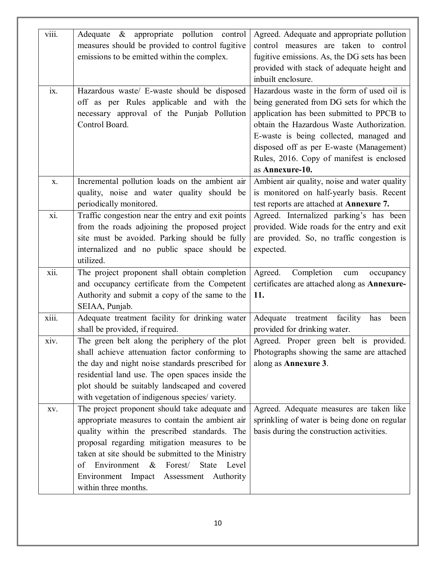| viii. | Adequate & appropriate pollution control               | Agreed. Adequate and appropriate pollution    |
|-------|--------------------------------------------------------|-----------------------------------------------|
|       | measures should be provided to control fugitive        | control measures are taken to control         |
|       | emissions to be emitted within the complex.            | fugitive emissions. As, the DG sets has been  |
|       |                                                        | provided with stack of adequate height and    |
|       |                                                        | inbuilt enclosure.                            |
| ix.   | Hazardous waste/ E-waste should be disposed            | Hazardous waste in the form of used oil is    |
|       | off as per Rules applicable and with the               | being generated from DG sets for which the    |
|       | necessary approval of the Punjab Pollution             | application has been submitted to PPCB to     |
|       | Control Board.                                         | obtain the Hazardous Waste Authorization.     |
|       |                                                        | E-waste is being collected, managed and       |
|       |                                                        | disposed off as per E-waste (Management)      |
|       |                                                        | Rules, 2016. Copy of manifest is enclosed     |
|       |                                                        | as Annexure-10.                               |
| X.    | Incremental pollution loads on the ambient air         | Ambient air quality, noise and water quality  |
|       | quality, noise and water quality should be             | is monitored on half-yearly basis. Recent     |
|       | periodically monitored.                                | test reports are attached at Annexure 7.      |
| xi.   | Traffic congestion near the entry and exit points      | Agreed. Internalized parking's has been       |
|       | from the roads adjoining the proposed project          | provided. Wide roads for the entry and exit   |
|       | site must be avoided. Parking should be fully          | are provided. So, no traffic congestion is    |
|       | internalized and no public space should be             | expected.                                     |
|       | utilized.                                              |                                               |
| xii.  | The project proponent shall obtain completion          | Completion<br>Agreed.<br>cum<br>occupancy     |
|       | and occupancy certificate from the Competent           | certificates are attached along as Annexure-  |
|       | Authority and submit a copy of the same to the         | 11.                                           |
|       | SEIAA, Punjab.                                         |                                               |
| xiii. | Adequate treatment facility for drinking water         | Adequate treatment<br>facility<br>has<br>been |
|       | shall be provided, if required.                        | provided for drinking water.                  |
| xiv.  | The green belt along the periphery of the plot         | Agreed. Proper green belt is provided.        |
|       | shall achieve attenuation factor conforming to         | Photographs showing the same are attached     |
|       | the day and night noise standards prescribed for       | along as Annexure 3.                          |
|       | residential land use. The open spaces inside the       |                                               |
|       | plot should be suitably landscaped and covered         |                                               |
|       | with vegetation of indigenous species/variety.         |                                               |
| XV.   | The project proponent should take adequate and         | Agreed. Adequate measures are taken like      |
|       | appropriate measures to contain the ambient air        | sprinkling of water is being done on regular  |
|       | quality within the prescribed standards. The           | basis during the construction activities.     |
|       | proposal regarding mitigation measures to be           |                                               |
|       | taken at site should be submitted to the Ministry      |                                               |
|       | Environment<br>$\&$<br>Forest/<br>Level<br>State<br>of |                                               |
|       | Environment Impact Assessment Authority                |                                               |
|       | within three months.                                   |                                               |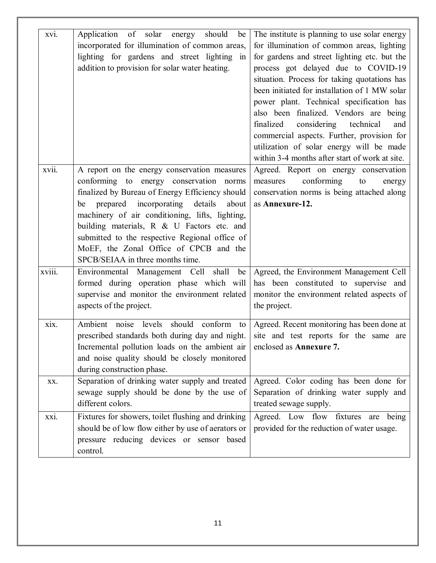| xvi.   | Application of solar energy<br>should<br>be<br>incorporated for illumination of common areas,<br>lighting for gardens and street lighting in<br>addition to provision for solar water heating.                                | The institute is planning to use solar energy<br>for illumination of common areas, lighting<br>for gardens and street lighting etc. but the<br>process got delayed due to COVID-19<br>situation. Process for taking quotations has<br>been initiated for installation of 1 MW solar<br>power plant. Technical specification has<br>also been finalized. Vendors are being<br>finalized<br>considering technical<br>and<br>commercial aspects. Further, provision for<br>utilization of solar energy will be made |
|--------|-------------------------------------------------------------------------------------------------------------------------------------------------------------------------------------------------------------------------------|------------------------------------------------------------------------------------------------------------------------------------------------------------------------------------------------------------------------------------------------------------------------------------------------------------------------------------------------------------------------------------------------------------------------------------------------------------------------------------------------------------------|
| xvii.  | A report on the energy conservation measures<br>conforming to energy conservation norms<br>finalized by Bureau of Energy Efficiency should<br>prepared incorporating details<br>about<br>be                                   | within 3-4 months after start of work at site.<br>Agreed. Report on energy conservation<br>conforming<br>to<br>measures<br>energy<br>conservation norms is being attached along<br>as Annexure-12.                                                                                                                                                                                                                                                                                                               |
|        | machinery of air conditioning, lifts, lighting,<br>building materials, R & U Factors etc. and<br>submitted to the respective Regional office of<br>MoEF, the Zonal Office of CPCB and the<br>SPCB/SEIAA in three months time. |                                                                                                                                                                                                                                                                                                                                                                                                                                                                                                                  |
| xviii. | Environmental Management Cell shall<br>be<br>formed during operation phase which will<br>supervise and monitor the environment related<br>aspects of the project.                                                             | Agreed, the Environment Management Cell<br>has been constituted to supervise and<br>monitor the environment related aspects of<br>the project.                                                                                                                                                                                                                                                                                                                                                                   |
| xix.   | Ambient noise levels should conform to<br>prescribed standards both during day and night.<br>Incremental pollution loads on the ambient air<br>and noise quality should be closely monitored<br>during construction phase.    | Agreed. Recent monitoring has been done at<br>site and test reports for the same are<br>enclosed as Annexure 7.                                                                                                                                                                                                                                                                                                                                                                                                  |
| XX.    | Separation of drinking water supply and treated<br>sewage supply should be done by the use of<br>different colors.                                                                                                            | Agreed. Color coding has been done for<br>Separation of drinking water supply and<br>treated sewage supply.                                                                                                                                                                                                                                                                                                                                                                                                      |
| xxi.   | Fixtures for showers, toilet flushing and drinking<br>should be of low flow either by use of aerators or<br>pressure reducing devices or sensor based<br>control.                                                             | Agreed. Low flow fixtures are being<br>provided for the reduction of water usage.                                                                                                                                                                                                                                                                                                                                                                                                                                |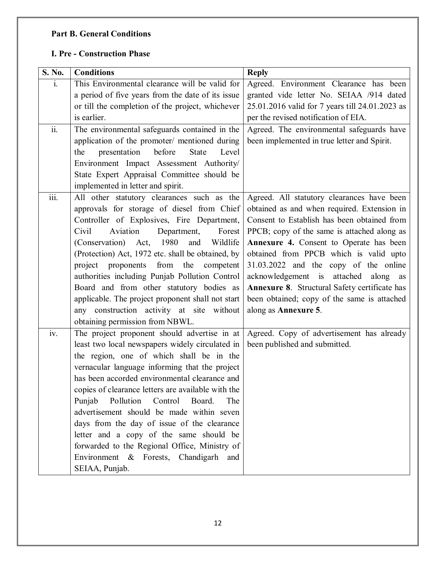#### **Part B. General Conditions**

#### **I. Pre - Construction Phase**

| S. No.                    | <b>Conditions</b>                                  | <b>Reply</b>                                    |
|---------------------------|----------------------------------------------------|-------------------------------------------------|
| $\mathbf{i}$ .            | This Environmental clearance will be valid for     | Agreed. Environment Clearance has been          |
|                           | a period of five years from the date of its issue  | granted vide letter No. SEIAA /914 dated        |
|                           | or till the completion of the project, whichever   | 25.01.2016 valid for 7 years till 24.01.2023 as |
|                           | is earlier.                                        | per the revised notification of EIA.            |
| $\overline{\text{ii}}$ .  | The environmental safeguards contained in the      | Agreed. The environmental safeguards have       |
|                           | application of the promoter/ mentioned during      | been implemented in true letter and Spirit.     |
|                           | before<br>the<br>presentation<br>State<br>Level    |                                                 |
|                           | Environment Impact Assessment Authority/           |                                                 |
|                           | State Expert Appraisal Committee should be         |                                                 |
|                           | implemented in letter and spirit.                  |                                                 |
| $\overline{\text{iii}}$ . | All other statutory clearances such as the         | Agreed. All statutory clearances have been      |
|                           | approvals for storage of diesel from Chief         | obtained as and when required. Extension in     |
|                           | Controller of Explosives, Fire Department,         | Consent to Establish has been obtained from     |
|                           | Aviation<br>Civil<br>Department,<br>Forest         | PPCB; copy of the same is attached along as     |
|                           | (Conservation) Act, 1980<br>Wildlife<br>and        | Annexure 4. Consent to Operate has been         |
|                           | (Protection) Act, 1972 etc. shall be obtained, by  | obtained from PPCB which is valid upto          |
|                           | project proponents from the competent              | 31.03.2022 and the copy of the online           |
|                           | authorities including Punjab Pollution Control     | acknowledgement is attached<br>along as         |
|                           | Board and from other statutory bodies as           | Annexure 8. Structural Safety certificate has   |
|                           | applicable. The project proponent shall not start  | been obtained; copy of the same is attached     |
|                           | any construction activity at site without          | along as Annexure 5.                            |
|                           | obtaining permission from NBWL.                    |                                                 |
| iv.                       | The project proponent should advertise in at       | Agreed. Copy of advertisement has already       |
|                           | least two local newspapers widely circulated in    | been published and submitted.                   |
|                           | the region, one of which shall be in the           |                                                 |
|                           | vernacular language informing that the project     |                                                 |
|                           | has been accorded environmental clearance and      |                                                 |
|                           | copies of clearance letters are available with the |                                                 |
|                           | Punjab<br>Pollution<br>Control<br>Board.<br>The    |                                                 |
|                           | advertisement should be made within seven          |                                                 |
|                           | days from the day of issue of the clearance        |                                                 |
|                           | letter and a copy of the same should be            |                                                 |
|                           | forwarded to the Regional Office, Ministry of      |                                                 |
|                           | Environment & Forests, Chandigarh and              |                                                 |
|                           | SEIAA, Punjab.                                     |                                                 |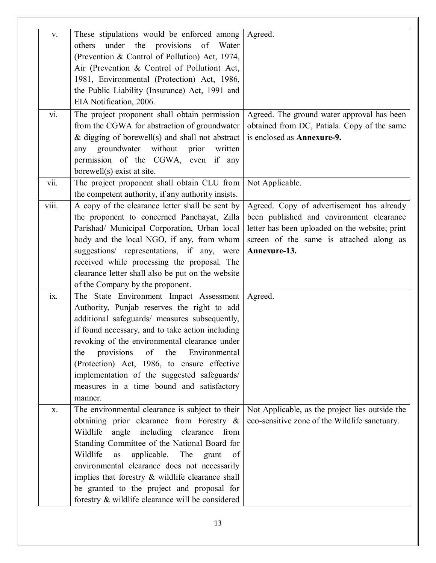| V.    | These stipulations would be enforced among         | Agreed.                                         |
|-------|----------------------------------------------------|-------------------------------------------------|
|       | under the provisions<br>of<br>Water<br>others      |                                                 |
|       | (Prevention & Control of Pollution) Act, 1974,     |                                                 |
|       | Air (Prevention & Control of Pollution) Act,       |                                                 |
|       | 1981, Environmental (Protection) Act, 1986,        |                                                 |
|       |                                                    |                                                 |
|       | the Public Liability (Insurance) Act, 1991 and     |                                                 |
|       | EIA Notification, 2006.                            |                                                 |
| vi.   | The project proponent shall obtain permission      | Agreed. The ground water approval has been      |
|       | from the CGWA for abstraction of groundwater       | obtained from DC, Patiala. Copy of the same     |
|       | $\&$ digging of borewell(s) and shall not abstract | is enclosed as Annexure-9.                      |
|       | groundwater without<br>prior<br>any<br>written     |                                                 |
|       |                                                    |                                                 |
|       | permission of the CGWA, even if any                |                                                 |
|       | borewell(s) exist at site.                         |                                                 |
| vii.  | The project proponent shall obtain CLU from        | Not Applicable.                                 |
|       | the competent authority, if any authority insists. |                                                 |
| viii. | A copy of the clearance letter shall be sent by    | Agreed. Copy of advertisement has already       |
|       | the proponent to concerned Panchayat, Zilla        | been published and environment clearance        |
|       | Parishad/ Municipal Corporation, Urban local       | letter has been uploaded on the website; print  |
|       | body and the local NGO, if any, from whom          | screen of the same is attached along as         |
|       |                                                    |                                                 |
|       | suggestions/ representations, if any, were         | Annexure-13.                                    |
|       | received while processing the proposal. The        |                                                 |
|       | clearance letter shall also be put on the website  |                                                 |
|       | of the Company by the proponent.                   |                                                 |
| ix.   | The State Environment Impact Assessment            | Agreed.                                         |
|       | Authority, Punjab reserves the right to add        |                                                 |
|       | additional safeguards/ measures subsequently,      |                                                 |
|       |                                                    |                                                 |
|       | if found necessary, and to take action including   |                                                 |
|       | revoking of the environmental clearance under      |                                                 |
|       | provisions of the<br>Environmental<br>the          |                                                 |
|       | (Protection) Act, 1986, to ensure effective        |                                                 |
|       | implementation of the suggested safeguards/        |                                                 |
|       | measures in a time bound and satisfactory          |                                                 |
|       | manner.                                            |                                                 |
| X.    | The environmental clearance is subject to their    | Not Applicable, as the project lies outside the |
|       | obtaining prior clearance from Forestry &          | eco-sensitive zone of the Wildlife sanctuary.   |
|       | Wildlife<br>angle including clearance from         |                                                 |
|       |                                                    |                                                 |
|       | Standing Committee of the National Board for       |                                                 |
|       | Wildlife<br>applicable. The grant<br>as<br>of      |                                                 |
|       | environmental clearance does not necessarily       |                                                 |
|       | implies that forestry & wildlife clearance shall   |                                                 |
|       | be granted to the project and proposal for         |                                                 |
|       | forestry & wildlife clearance will be considered   |                                                 |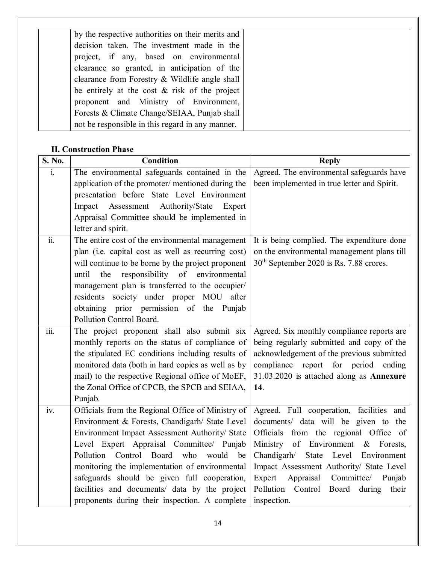| by the respective authorities on their merits and |  |
|---------------------------------------------------|--|
| decision taken. The investment made in the        |  |
| project, if any, based on environmental           |  |
| clearance so granted, in anticipation of the      |  |
| clearance from Forestry & Wildlife angle shall    |  |
| be entirely at the cost $\&$ risk of the project  |  |
| proponent and Ministry of Environment,            |  |
| Forests & Climate Change/SEIAA, Punjab shall      |  |
| not be responsible in this regard in any manner.  |  |

#### **II. Construction Phase**

| S. No.                    | <b>Condition</b>                                   | <b>Reply</b>                                        |
|---------------------------|----------------------------------------------------|-----------------------------------------------------|
| $\mathbf{i}$ .            | The environmental safeguards contained in the      | Agreed. The environmental safeguards have           |
|                           | application of the promoter/ mentioned during the  | been implemented in true letter and Spirit.         |
|                           | presentation before State Level Environment        |                                                     |
|                           | Impact Assessment Authority/State Expert           |                                                     |
|                           | Appraisal Committee should be implemented in       |                                                     |
|                           | letter and spirit.                                 |                                                     |
| $\overline{ii}$ .         | The entire cost of the environmental management    | It is being complied. The expenditure done          |
|                           | plan (i.e. capital cost as well as recurring cost) | on the environmental management plans till          |
|                           | will continue to be borne by the project proponent | 30 <sup>th</sup> September 2020 is Rs. 7.88 crores. |
|                           | responsibility of environmental<br>until<br>the    |                                                     |
|                           | management plan is transferred to the occupier/    |                                                     |
|                           | residents society under proper MOU<br>after        |                                                     |
|                           | obtaining prior permission of the Punjab           |                                                     |
|                           | Pollution Control Board.                           |                                                     |
| $\overline{\text{iii}}$ . | The project proponent shall also submit six        | Agreed. Six monthly compliance reports are          |
|                           | monthly reports on the status of compliance of     | being regularly submitted and copy of the           |
|                           | the stipulated EC conditions including results of  | acknowledgement of the previous submitted           |
|                           | monitored data (both in hard copies as well as by  | compliance report for period ending                 |
|                           | mail) to the respective Regional office of MoEF,   | 31.03.2020 is attached along as Annexure            |
|                           | the Zonal Office of CPCB, the SPCB and SEIAA,      | 14.                                                 |
|                           | Punjab.                                            |                                                     |
| iv.                       | Officials from the Regional Office of Ministry of  | Agreed. Full cooperation, facilities and            |
|                           | Environment & Forests, Chandigarh/ State Level     | documents/ data will be given to the                |
|                           | Environment Impact Assessment Authority/ State     | Officials from the regional Office of               |
|                           | Level Expert Appraisal Committee/ Punjab           | Ministry of Environment & Forests,                  |
|                           | Pollution Control Board who<br>would be            | State Level Environment<br>Chandigarh/              |
|                           | monitoring the implementation of environmental     | Impact Assessment Authority/ State Level            |
|                           | safeguards should be given full cooperation,       | Expert<br>Committee/<br>Appraisal<br>Punjab         |
|                           | facilities and documents/ data by the project      | Pollution Control<br>Board during<br>their          |
|                           | proponents during their inspection. A complete     | inspection.                                         |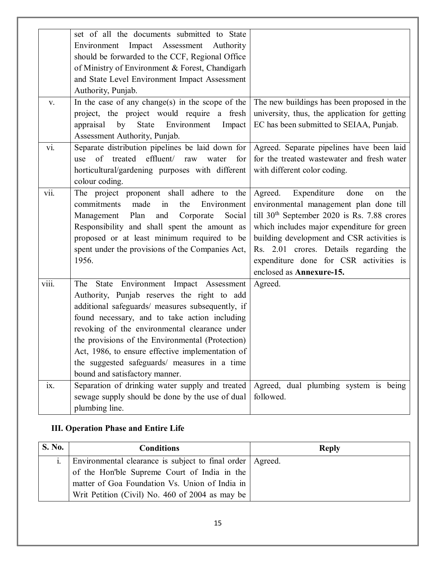|       | set of all the documents submitted to State       |                                               |
|-------|---------------------------------------------------|-----------------------------------------------|
|       | Environment Impact Assessment Authority           |                                               |
|       | should be forwarded to the CCF, Regional Office   |                                               |
|       | of Ministry of Environment & Forest, Chandigarh   |                                               |
|       | and State Level Environment Impact Assessment     |                                               |
|       | Authority, Punjab.                                |                                               |
| V.    | In the case of any change(s) in the scope of the  | The new buildings has been proposed in the    |
|       | project, the project would require a fresh        | university, thus, the application for getting |
|       | Environment<br>appraisal<br>by<br>State<br>Impact | EC has been submitted to SEIAA, Punjab.       |
|       | Assessment Authority, Punjab.                     |                                               |
| vi.   | Separate distribution pipelines be laid down for  | Agreed. Separate pipelines have been laid     |
|       | of treated effluent/ raw water<br>for<br>use      | for the treated wastewater and fresh water    |
|       | horticultural/gardening purposes with different   | with different color coding.                  |
|       | colour coding.                                    |                                               |
| vii.  | The project proponent shall adhere to the         | Agreed.<br>Expenditure<br>done<br>the<br>on   |
|       | commitments<br>made<br>in<br>the<br>Environment   | environmental management plan done till       |
|       | Plan<br>Social<br>Management<br>and<br>Corporate  | till $30th$ September 2020 is Rs. 7.88 crores |
|       | Responsibility and shall spent the amount as      | which includes major expenditure for green    |
|       | proposed or at least minimum required to be       | building development and CSR activities is    |
|       | spent under the provisions of the Companies Act,  | Rs. 2.01 crores. Details regarding the        |
|       | 1956.                                             | expenditure done for CSR activities is        |
|       |                                                   | enclosed as Annexure-15.                      |
| viii. | State Environment Impact Assessment<br>The        | Agreed.                                       |
|       | Authority, Punjab reserves the right to add       |                                               |
|       | additional safeguards/ measures subsequently, if  |                                               |
|       |                                                   |                                               |
|       | found necessary, and to take action including     |                                               |
|       | revoking of the environmental clearance under     |                                               |
|       | the provisions of the Environmental (Protection)  |                                               |
|       | Act, 1986, to ensure effective implementation of  |                                               |
|       | the suggested safeguards/ measures in a time      |                                               |
|       | bound and satisfactory manner.                    |                                               |
| ix.   | Separation of drinking water supply and treated   | Agreed, dual plumbing system is being         |
|       | sewage supply should be done by the use of dual   | followed.                                     |
|       | plumbing line.                                    |                                               |

### **III. Operation Phase and Entire Life**

| <b>S. No.</b> | <b>Conditions</b>                                           | <b>Reply</b> |
|---------------|-------------------------------------------------------------|--------------|
|               | Environmental clearance is subject to final order   Agreed. |              |
|               | of the Hon'ble Supreme Court of India in the                |              |
|               | matter of Goa Foundation Vs. Union of India in              |              |
|               | Writ Petition (Civil) No. 460 of 2004 as may be             |              |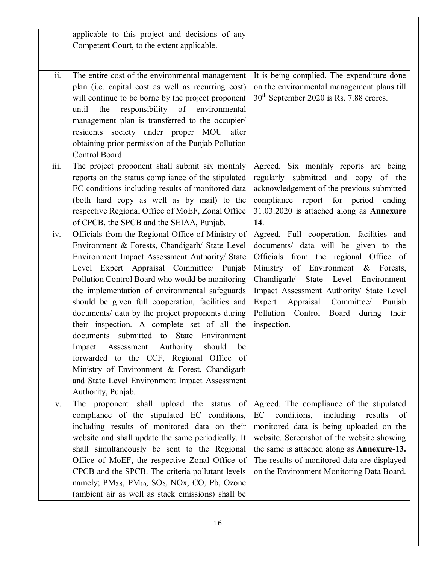|                           | applicable to this project and decisions of any<br>Competent Court, to the extent applicable.                                                                                                                                                                                                                                                                                                                                                                                                                                                                                                                                                                                                                                     |                                                                                                                                                                                                                                                                                                                                                       |
|---------------------------|-----------------------------------------------------------------------------------------------------------------------------------------------------------------------------------------------------------------------------------------------------------------------------------------------------------------------------------------------------------------------------------------------------------------------------------------------------------------------------------------------------------------------------------------------------------------------------------------------------------------------------------------------------------------------------------------------------------------------------------|-------------------------------------------------------------------------------------------------------------------------------------------------------------------------------------------------------------------------------------------------------------------------------------------------------------------------------------------------------|
| ii.                       | The entire cost of the environmental management<br>plan (i.e. capital cost as well as recurring cost)<br>will continue to be borne by the project proponent<br>responsibility of environmental<br>the<br>until<br>management plan is transferred to the occupier/<br>residents society under proper MOU after<br>obtaining prior permission of the Punjab Pollution<br>Control Board.                                                                                                                                                                                                                                                                                                                                             | It is being complied. The expenditure done<br>on the environmental management plans till<br>30 <sup>th</sup> September 2020 is Rs. 7.88 crores.                                                                                                                                                                                                       |
| $\overline{\text{iii}}$ . | The project proponent shall submit six monthly<br>reports on the status compliance of the stipulated<br>EC conditions including results of monitored data<br>(both hard copy as well as by mail) to the<br>respective Regional Office of MoEF, Zonal Office<br>of CPCB, the SPCB and the SEIAA, Punjab.                                                                                                                                                                                                                                                                                                                                                                                                                           | Agreed. Six monthly reports are being<br>regularly submitted and copy of the<br>acknowledgement of the previous submitted<br>compliance report for period ending<br>31.03.2020 is attached along as Annexure<br>14.                                                                                                                                   |
| iv.                       | Officials from the Regional Office of Ministry of<br>Environment & Forests, Chandigarh/ State Level<br>Environment Impact Assessment Authority/ State<br>Level Expert Appraisal Committee/ Punjab<br>Pollution Control Board who would be monitoring<br>the implementation of environmental safeguards<br>should be given full cooperation, facilities and<br>documents/ data by the project proponents during<br>their inspection. A complete set of all the<br>documents submitted to State Environment<br>Assessment<br>Authority<br>should<br>Impact<br>be<br>forwarded to the CCF, Regional Office of<br>Ministry of Environment & Forest, Chandigarh<br>and State Level Environment Impact Assessment<br>Authority, Punjab. | Agreed. Full cooperation, facilities and<br>documents/ data will be given to the<br>Officials from the regional Office of<br>Ministry of Environment & Forests,<br>State Level Environment<br>Chandigarh/<br>Impact Assessment Authority/ State Level<br>Expert Appraisal Committee/ Punjab<br>Pollution Control Board during<br>their<br>inspection. |
| V.                        | The proponent shall upload the status of<br>compliance of the stipulated EC conditions,<br>including results of monitored data on their<br>website and shall update the same periodically. It<br>shall simultaneously be sent to the Regional<br>Office of MoEF, the respective Zonal Office of<br>CPCB and the SPCB. The criteria pollutant levels<br>namely; PM <sub>2.5</sub> , PM <sub>10</sub> , SO <sub>2</sub> , NOx, CO, Pb, Ozone<br>(ambient air as well as stack emissions) shall be                                                                                                                                                                                                                                   | Agreed. The compliance of the stipulated<br>conditions,<br>including results<br>EC<br>- of<br>monitored data is being uploaded on the<br>website. Screenshot of the website showing<br>the same is attached along as <b>Annexure-13.</b><br>The results of monitored data are displayed<br>on the Environment Monitoring Data Board.                  |